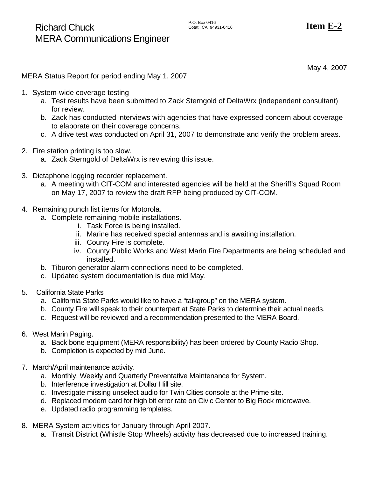May 4, 2007

MERA Status Report for period ending May 1, 2007

- 1. System-wide coverage testing
	- a. Test results have been submitted to Zack Sterngold of DeltaWrx (independent consultant) for review.
	- b. Zack has conducted interviews with agencies that have expressed concern about coverage to elaborate on their coverage concerns.
	- c. A drive test was conducted on April 31, 2007 to demonstrate and verify the problem areas.
- 2. Fire station printing is too slow.
	- a. Zack Sterngold of DeltaWrx is reviewing this issue.
- 3. Dictaphone logging recorder replacement.
	- a. A meeting with CIT-COM and interested agencies will be held at the Sheriff's Squad Room on May 17, 2007 to review the draft RFP being produced by CIT-COM.
- 4. Remaining punch list items for Motorola.
	- a. Complete remaining mobile installations.
		- i. Task Force is being installed.
		- ii. Marine has received special antennas and is awaiting installation.
		- iii. County Fire is complete.
		- iv. County Public Works and West Marin Fire Departments are being scheduled and installed.
	- b. Tiburon generator alarm connections need to be completed.
	- c. Updated system documentation is due mid May.
- 5. California State Parks
	- a. California State Parks would like to have a "talkgroup" on the MERA system.
	- b. County Fire will speak to their counterpart at State Parks to determine their actual needs.
	- c. Request will be reviewed and a recommendation presented to the MERA Board.
- 6. West Marin Paging.
	- a. Back bone equipment (MERA responsibility) has been ordered by County Radio Shop.
	- b. Completion is expected by mid June.
- 7. March/April maintenance activity.
	- a. Monthly, Weekly and Quarterly Preventative Maintenance for System.
	- b. Interference investigation at Dollar Hill site.
	- c. Investigate missing unselect audio for Twin Cities console at the Prime site.
	- d. Replaced modem card for high bit error rate on Civic Center to Big Rock microwave.
	- e. Updated radio programming templates.
- 8. MERA System activities for January through April 2007.
	- a. Transit District (Whistle Stop Wheels) activity has decreased due to increased training.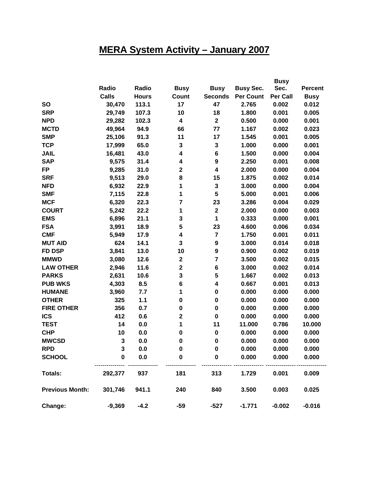# **MERA System Activity – January 2007**

|                        |              |              |                         |                         |                  | <b>Busy</b>     |                |
|------------------------|--------------|--------------|-------------------------|-------------------------|------------------|-----------------|----------------|
|                        | Radio        | Radio        | <b>Busy</b>             | <b>Busy</b>             | <b>Busy Sec.</b> | Sec.            | <b>Percent</b> |
|                        | <b>Calls</b> | <b>Hours</b> | Count                   | <b>Seconds</b>          | <b>Per Count</b> | <b>Per Call</b> | <b>Busy</b>    |
| <b>SO</b>              | 30,470       | 113.1        | 17                      | 47                      | 2.765            | 0.002           | 0.012          |
| <b>SRP</b>             | 29,749       | 107.3        | 10                      | 18                      | 1.800            | 0.001           | 0.005          |
| <b>NPD</b>             | 29,282       | 102.3        | $\overline{\mathbf{4}}$ | $\bf 2$                 | 0.500            | 0.000           | 0.001          |
| <b>MCTD</b>            | 49,964       | 94.9         | 66                      | 77                      | 1.167            | 0.002           | 0.023          |
| <b>SMP</b>             | 25,106       | 91.3         | 11                      | 17                      | 1.545            | 0.001           | 0.005          |
| <b>TCP</b>             | 17,999       | 65.0         | 3                       | $\mathbf 3$             | 1.000            | 0.000           | 0.001          |
| <b>JAIL</b>            | 16,481       | 43.0         | 4                       | $\bf 6$                 | 1.500            | 0.000           | 0.004          |
| <b>SAP</b>             | 9,575        | 31.4         | 4                       | $\boldsymbol{9}$        | 2.250            | 0.001           | 0.008          |
| <b>FP</b>              | 9,285        | 31.0         | $\mathbf 2$             | $\overline{\mathbf{4}}$ | 2.000            | 0.000           | 0.004          |
| <b>SRF</b>             | 9,513        | 29.0         | 8                       | 15                      | 1.875            | 0.002           | 0.014          |
| <b>NFD</b>             | 6,932        | 22.9         | 1                       | $\mathbf 3$             | 3.000            | 0.000           | 0.004          |
| <b>SMF</b>             | 7,115        | 22.8         | 1                       | 5                       | 5.000            | 0.001           | 0.006          |
| <b>MCF</b>             | 6,320        | 22.3         | $\overline{7}$          | 23                      | 3.286            | 0.004           | 0.029          |
| <b>COURT</b>           | 5,242        | 22.2         | 1                       | $\mathbf 2$             | 2.000            | 0.000           | 0.003          |
| <b>EMS</b>             | 6,896        | 21.1         | 3                       | 1                       | 0.333            | 0.000           | 0.001          |
| <b>FSA</b>             | 3,991        | 18.9         | 5                       | 23                      | 4.600            | 0.006           | 0.034          |
| <b>CMF</b>             | 5,949        | 17.9         | 4                       | $\overline{7}$          | 1.750            | 0.001           | 0.011          |
| <b>MUT AID</b>         | 624          | 14.1         | 3                       | $\boldsymbol{9}$        | 3.000            | 0.014           | 0.018          |
| <b>FD DSP</b>          | 3,841        | 13.0         | 10                      | $\boldsymbol{9}$        | 0.900            | 0.002           | 0.019          |
| <b>MMWD</b>            | 3,080        | 12.6         | $\mathbf 2$             | $\overline{7}$          | 3.500            | 0.002           | 0.015          |
| <b>LAW OTHER</b>       | 2,946        | 11.6         | $\mathbf 2$             | $\bf 6$                 | 3.000            | 0.002           | 0.014          |
| <b>PARKS</b>           | 2,631        | 10.6         | 3                       | 5                       | 1.667            | 0.002           | 0.013          |
| <b>PUB WKS</b>         | 4,303        | 8.5          | $\bf 6$                 | 4                       | 0.667            | 0.001           | 0.013          |
| <b>HUMANE</b>          | 3,960        | 7.7          | 1                       | $\pmb{0}$               | 0.000            | 0.000           | 0.000          |
| <b>OTHER</b>           | 325          | 1.1          | $\bf{0}$                | $\pmb{0}$               | 0.000            | 0.000           | 0.000          |
| <b>FIRE OTHER</b>      | 356          | 0.7          | $\bf{0}$                | $\pmb{0}$               | 0.000            | 0.000           | 0.000          |
| <b>ICS</b>             | 412          | 0.6          | $\mathbf 2$             | $\bf{0}$                | 0.000            | 0.000           | 0.000          |
| <b>TEST</b>            | 14           | 0.0          | 1                       | 11                      | 11.000           | 0.786           | 10.000         |
| <b>CHP</b>             | 10           | 0.0          | $\bf{0}$                | $\bf{0}$                | 0.000            | 0.000           | 0.000          |
| <b>MWCSD</b>           | 3            | 0.0          | $\bf{0}$                | $\pmb{0}$               | 0.000            | 0.000           | 0.000          |
| <b>RPD</b>             | 3            | 0.0          | $\bf{0}$                | $\bf{0}$                | 0.000            | 0.000           | 0.000          |
| <b>SCHOOL</b>          | $\mathbf 0$  | 0.0          | $\bf{0}$                | $\pmb{0}$               | 0.000            | 0.000           | 0.000          |
| <b>Totals:</b>         | 292,377      | 937          | 181                     | 313                     | 1.729            | 0.001           | 0.009          |
| <b>Previous Month:</b> | 301,746      | 941.1        | 240                     | 840                     | 3.500            | 0.003           | 0.025          |
| Change:                | $-9,369$     | $-4.2$       | $-59$                   | $-527$                  | $-1.771$         | $-0.002$        | $-0.016$       |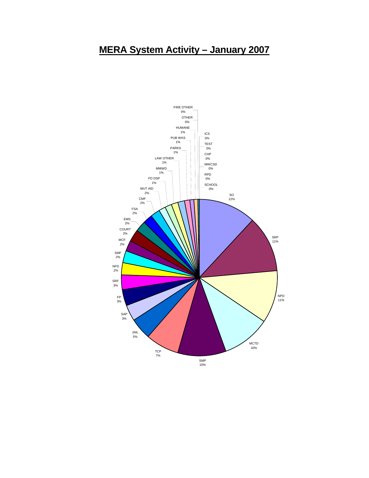### **MERA System Activity – January 2007**

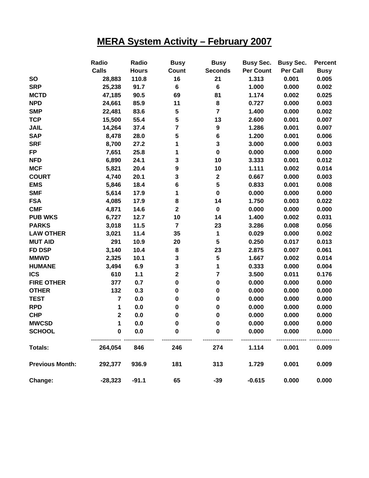## **MERA System Activity – February 2007**

|                        | Radio                   | Radio        | <b>Busy</b>             | <b>Busy</b>             | <b>Busy Sec.</b> | <b>Busy Sec.</b> | <b>Percent</b> |
|------------------------|-------------------------|--------------|-------------------------|-------------------------|------------------|------------------|----------------|
|                        | <b>Calls</b>            | <b>Hours</b> | Count                   | <b>Seconds</b>          | Per Count        | Per Call         | <b>Busy</b>    |
| <b>SO</b>              | 28,883                  | 110.8        | 16                      | 21                      | 1.313            | 0.001            | 0.005          |
| <b>SRP</b>             | 25,238                  | 91.7         | 6                       | 6                       | 1.000            | 0.000            | 0.002          |
| <b>MCTD</b>            | 47,185                  | 90.5         | 69                      | 81                      | 1.174            | 0.002            | 0.025          |
| <b>NPD</b>             | 24,661                  | 85.9         | 11                      | ${\bf 8}$               | 0.727            | 0.000            | 0.003          |
| <b>SMP</b>             | 22,481                  | 83.6         | ${\bf 5}$               | $\overline{7}$          | 1.400            | 0.000            | 0.002          |
| <b>TCP</b>             | 15,500                  | 55.4         | 5                       | 13                      | 2.600            | 0.001            | 0.007          |
| <b>JAIL</b>            | 14,264                  | 37.4         | $\overline{\mathbf{r}}$ | 9                       | 1.286            | 0.001            | 0.007          |
| <b>SAP</b>             | 8,478                   | 28.0         | ${\bf 5}$               | 6                       | 1.200            | 0.001            | 0.006          |
| <b>SRF</b>             | 8,700                   | 27.2         | 1                       | 3                       | 3.000            | 0.000            | 0.003          |
| <b>FP</b>              | 7,651                   | 25.8         | 1                       | $\pmb{0}$               | 0.000            | 0.000            | 0.000          |
| <b>NFD</b>             | 6,890                   | 24.1         | 3                       | 10                      | 3.333            | 0.001            | 0.012          |
| <b>MCF</b>             | 5,821                   | 20.4         | 9                       | 10                      | 1.111            | 0.002            | 0.014          |
| <b>COURT</b>           | 4,740                   | 20.1         | 3                       | $\mathbf 2$             | 0.667            | 0.000            | 0.003          |
| <b>EMS</b>             | 5,846                   | 18.4         | 6                       | 5                       | 0.833            | 0.001            | 0.008          |
| <b>SMF</b>             | 5,614                   | 17.9         | 1                       | $\mathbf 0$             | 0.000            | 0.000            | 0.000          |
| <b>FSA</b>             | 4,085                   | 17.9         | 8                       | 14                      | 1.750            | 0.003            | 0.022          |
| <b>CMF</b>             | 4,871                   | 14.6         | $\overline{\mathbf{2}}$ | $\pmb{0}$               | 0.000            | 0.000            | 0.000          |
| <b>PUB WKS</b>         | 6,727                   | 12.7         | 10                      | 14                      | 1.400            | 0.002            | 0.031          |
| <b>PARKS</b>           | 3,018                   | 11.5         | $\overline{\mathbf{7}}$ | 23                      | 3.286            | 0.008            | 0.056          |
| <b>LAW OTHER</b>       | 3,021                   | 11.4         | 35                      | 1                       | 0.029            | 0.000            | 0.002          |
| <b>MUT AID</b>         | 291                     | 10.9         | 20                      | $5\phantom{.0}$         | 0.250            | 0.017            | 0.013          |
| <b>FD DSP</b>          | 3,140                   | 10.4         | 8                       | 23                      | 2.875            | 0.007            | 0.061          |
| <b>MMWD</b>            | 2,325                   | 10.1         | ${\bf 3}$               | ${\bf 5}$               | 1.667            | 0.002            | 0.014          |
| <b>HUMANE</b>          | 3,494                   | 6.9          | ${\bf 3}$               | 1                       | 0.333            | 0.000            | 0.004          |
| <b>ICS</b>             | 610                     | $1.1$        | $\mathbf 2$             | $\overline{\mathbf{r}}$ | 3.500            | 0.011            | 0.176          |
| <b>FIRE OTHER</b>      | 377                     | 0.7          | $\pmb{0}$               | $\pmb{0}$               | 0.000            | 0.000            | 0.000          |
| <b>OTHER</b>           | 132                     | 0.3          | $\pmb{0}$               | $\bf{0}$                | 0.000            | 0.000            | 0.000          |
| <b>TEST</b>            | $\overline{\mathbf{7}}$ | 0.0          | $\pmb{0}$               | 0                       | 0.000            | 0.000            | 0.000          |
| <b>RPD</b>             | 1                       | 0.0          | $\pmb{0}$               | 0                       | 0.000            | 0.000            | 0.000          |
| <b>CHP</b>             | $\mathbf 2$             | 0.0          | 0                       | $\bf{0}$                | 0.000            | 0.000            | 0.000          |
| <b>MWCSD</b>           | 1                       | 0.0          | $\pmb{0}$               | 0                       | 0.000            | 0.000            | 0.000          |
| <b>SCHOOL</b>          | 0                       | 0.0          | 0                       | 0                       | 0.000            | 0.000            | 0.000          |
| <b>Totals:</b>         | 264,054                 | 846          | 246                     | 274                     | 1.114            | 0.001            | 0.009          |
| <b>Previous Month:</b> | 292,377                 | 936.9        | 181                     | 313                     | 1.729            | 0.001            | 0.009          |
| Change:                | $-28,323$               | $-91.1$      | 65                      | $-39$                   | $-0.615$         | 0.000            | 0.000          |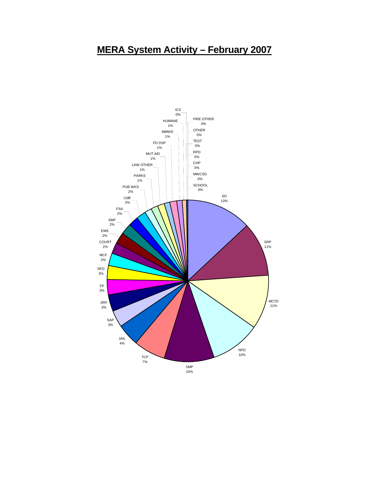### **MERA System Activity – February 2007**

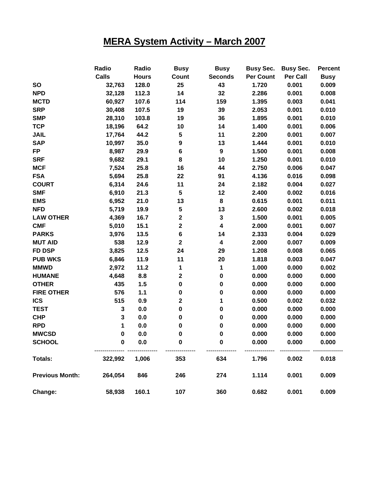## **MERA System Activity – March 2007**

|                        | Radio        | Radio        | <b>Busy</b>             | <b>Busy</b>             | <b>Busy Sec.</b> | <b>Busy Sec.</b> | <b>Percent</b> |
|------------------------|--------------|--------------|-------------------------|-------------------------|------------------|------------------|----------------|
|                        | <b>Calls</b> | <b>Hours</b> | Count                   | <b>Seconds</b>          | <b>Per Count</b> | Per Call         | <b>Busy</b>    |
| <b>SO</b>              | 32,763       | 128.0        | 25                      | 43                      | 1.720            | 0.001            | 0.009          |
| <b>NPD</b>             | 32,128       | 112.3        | 14                      | 32                      | 2.286            | 0.001            | 0.008          |
| <b>MCTD</b>            | 60,927       | 107.6        | 114                     | 159                     | 1.395            | 0.003            | 0.041          |
| <b>SRP</b>             | 30,408       | 107.5        | 19                      | 39                      | 2.053            | 0.001            | 0.010          |
| <b>SMP</b>             | 28,310       | 103.8        | 19                      | 36                      | 1.895            | 0.001            | 0.010          |
| <b>TCP</b>             | 18,196       | 64.2         | 10                      | 14                      | 1.400            | 0.001            | 0.006          |
| <b>JAIL</b>            | 17,764       | 44.2         | ${\bf 5}$               | 11                      | 2.200            | 0.001            | 0.007          |
| <b>SAP</b>             | 10,997       | 35.0         | $\boldsymbol{9}$        | 13                      | 1.444            | 0.001            | 0.010          |
| <b>FP</b>              | 8,987        | 29.9         | $\bf 6$                 | $\boldsymbol{9}$        | 1.500            | 0.001            | 0.008          |
| <b>SRF</b>             | 9,682        | 29.1         | 8                       | 10                      | 1.250            | 0.001            | 0.010          |
| <b>MCF</b>             | 7,524        | 25.8         | 16                      | 44                      | 2.750            | 0.006            | 0.047          |
| <b>FSA</b>             | 5,694        | 25.8         | 22                      | 91                      | 4.136            | 0.016            | 0.098          |
| <b>COURT</b>           | 6,314        | 24.6         | 11                      | 24                      | 2.182            | 0.004            | 0.027          |
| <b>SMF</b>             | 6,910        | 21.3         | $\overline{\mathbf{5}}$ | 12                      | 2.400            | 0.002            | 0.016          |
| <b>EMS</b>             | 6,952        | 21.0         | 13                      | ${\bf 8}$               | 0.615            | 0.001            | 0.011          |
| <b>NFD</b>             | 5,719        | 19.9         | ${\bf 5}$               | 13                      | 2.600            | 0.002            | 0.018          |
| <b>LAW OTHER</b>       | 4,369        | 16.7         | $\mathbf 2$             | $\mathbf 3$             | 1.500            | 0.001            | 0.005          |
| <b>CMF</b>             | 5,010        | 15.1         | $\mathbf 2$             | $\overline{\mathbf{4}}$ | 2.000            | 0.001            | 0.007          |
| <b>PARKS</b>           | 3,976        | 13.5         | $\bf 6$                 | 14                      | 2.333            | 0.004            | 0.029          |
| <b>MUT AID</b>         | 538          | 12.9         | $\mathbf 2$             | $\boldsymbol{4}$        | 2.000            | 0.007            | 0.009          |
| <b>FD DSP</b>          | 3,825        | 12.5         | 24                      | 29                      | 1.208            | 0.008            | 0.065          |
| <b>PUB WKS</b>         | 6,846        | 11.9         | 11                      | 20                      | 1.818            | 0.003            | 0.047          |
| <b>MMWD</b>            | 2,972        | 11.2         | 1                       | 1                       | 1.000            | 0.000            | 0.002          |
| <b>HUMANE</b>          | 4,648        | 8.8          | $\mathbf 2$             | $\pmb{0}$               | 0.000            | 0.000            | 0.000          |
| <b>OTHER</b>           | 435          | 1.5          | $\pmb{0}$               | $\pmb{0}$               | 0.000            | 0.000            | 0.000          |
| <b>FIRE OTHER</b>      | 576          | 1.1          | $\pmb{0}$               | $\mathbf 0$             | 0.000            | 0.000            | 0.000          |
| <b>ICS</b>             | 515          | 0.9          | $\mathbf 2$             | 1                       | 0.500            | 0.002            | 0.032          |
| <b>TEST</b>            | 3            | 0.0          | $\pmb{0}$               | $\mathbf 0$             | 0.000            | 0.000            | 0.000          |
| <b>CHP</b>             | $\mathbf 3$  | 0.0          | $\pmb{0}$               | $\pmb{0}$               | 0.000            | 0.000            | 0.000          |
| <b>RPD</b>             | 1            | 0.0          | $\pmb{0}$               | $\pmb{0}$               | 0.000            | 0.000            | 0.000          |
| <b>MWCSD</b>           | 0            | 0.0          | 0                       | 0                       | 0.000            | 0.000            | 0.000          |
| <b>SCHOOL</b>          | $\mathbf 0$  | 0.0          | 0                       | $\bf{0}$                | 0.000            | 0.000            | 0.000          |
| <b>Totals:</b>         | 322,992      | 1,006        | 353                     | 634                     | 1.796            | 0.002            | 0.018          |
| <b>Previous Month:</b> | 264,054      | 846          | 246                     | 274                     | 1.114            | 0.001            | 0.009          |
| Change:                | 58,938       | 160.1        | 107                     | 360                     | 0.682            | 0.001            | 0.009          |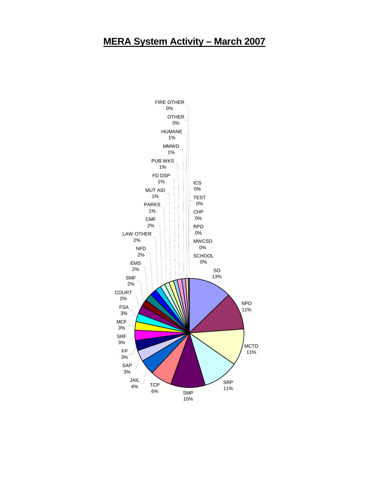#### **MERA System Activity – March 2007**

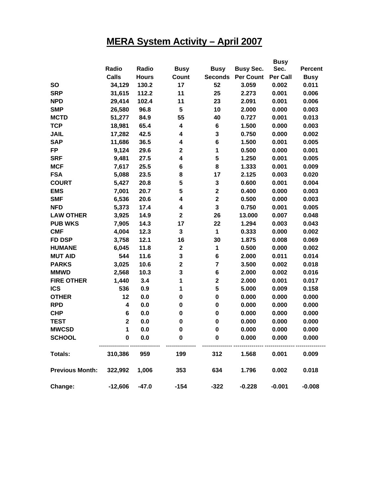## **MERA System Activity – April 2007**

|                        |              |              |                         |                         |                  | <b>Busy</b>     |                |
|------------------------|--------------|--------------|-------------------------|-------------------------|------------------|-----------------|----------------|
|                        | Radio        | Radio        | <b>Busy</b>             | <b>Busy</b>             | <b>Busy Sec.</b> | Sec.            | <b>Percent</b> |
|                        | <b>Calls</b> | <b>Hours</b> | Count                   | <b>Seconds</b>          | <b>Per Count</b> | <b>Per Call</b> | <b>Busy</b>    |
| <b>SO</b>              | 34,129       | 130.2        | 17                      | 52                      | 3.059            | 0.002           | 0.011          |
| <b>SRP</b>             | 31,615       | 112.2        | 11                      | 25                      | 2.273            | 0.001           | 0.006          |
| <b>NPD</b>             | 29,414       | 102.4        | 11                      | 23                      | 2.091            | 0.001           | 0.006          |
| <b>SMP</b>             | 26,580       | 96.8         | 5                       | 10                      | 2.000            | 0.000           | 0.003          |
| <b>MCTD</b>            | 51,277       | 84.9         | 55                      | 40                      | 0.727            | 0.001           | 0.013          |
| <b>TCP</b>             | 18,981       | 65.4         | 4                       | 6                       | 1.500            | 0.000           | 0.003          |
| <b>JAIL</b>            | 17,282       | 42.5         | 4                       | $\mathbf 3$             | 0.750            | 0.000           | 0.002          |
| <b>SAP</b>             | 11,686       | 36.5         | 4                       | 6                       | 1.500            | 0.001           | 0.005          |
| <b>FP</b>              | 9,124        | 29.6         | $\mathbf 2$             | 1                       | 0.500            | 0.000           | 0.001          |
| <b>SRF</b>             | 9,481        | 27.5         | 4                       | 5                       | 1.250            | 0.001           | 0.005          |
| <b>MCF</b>             | 7,617        | 25.5         | 6                       | 8                       | 1.333            | 0.001           | 0.009          |
| <b>FSA</b>             | 5,088        | 23.5         | 8                       | 17                      | 2.125            | 0.003           | 0.020          |
| <b>COURT</b>           | 5,427        | 20.8         | 5                       | $\mathbf 3$             | 0.600            | 0.001           | 0.004          |
| <b>EMS</b>             | 7,001        | 20.7         | 5                       | $\mathbf 2$             | 0.400            | 0.000           | 0.003          |
| <b>SMF</b>             | 6,536        | 20.6         | 4                       | $\mathbf 2$             | 0.500            | 0.000           | 0.003          |
| <b>NFD</b>             | 5,373        | 17.4         | 4                       | $\mathbf{3}$            | 0.750            | 0.001           | 0.005          |
| <b>LAW OTHER</b>       | 3,925        | 14.9         | $\overline{\mathbf{2}}$ | 26                      | 13.000           | 0.007           | 0.048          |
| <b>PUB WKS</b>         | 7,905        | 14.3         | 17                      | 22                      | 1.294            | 0.003           | 0.043          |
| <b>CMF</b>             | 4,004        | 12.3         | 3                       | 1                       | 0.333            | 0.000           | 0.002          |
| <b>FD DSP</b>          | 3,758        | 12.1         | 16                      | 30                      | 1.875            | 0.008           | 0.069          |
| <b>HUMANE</b>          | 6,045        | 11.8         | $\mathbf 2$             | 1                       | 0.500            | 0.000           | 0.002          |
| <b>MUT AID</b>         | 544          | 11.6         | 3                       | $\bf 6$                 | 2.000            | 0.011           | 0.014          |
| <b>PARKS</b>           | 3,025        | 10.6         | $\mathbf 2$             | $\overline{\mathbf{r}}$ | 3.500            | 0.002           | 0.018          |
| <b>MMWD</b>            | 2,568        | 10.3         | 3                       | $\bf 6$                 | 2.000            | 0.002           | 0.016          |
| <b>FIRE OTHER</b>      | 1,440        | 3.4          | 1                       | $\mathbf 2$             | 2.000            | 0.001           | 0.017          |
| <b>ICS</b>             | 536          | 0.9          | 1                       | 5                       | 5.000            | 0.009           | 0.158          |
| <b>OTHER</b>           | 12           | 0.0          | 0                       | $\mathbf 0$             | 0.000            | 0.000           | 0.000          |
| <b>RPD</b>             | 4            | 0.0          | 0                       | $\mathbf 0$             | 0.000            | 0.000           | 0.000          |
| <b>CHP</b>             | 6            | 0.0          | 0                       | $\mathbf 0$             | 0.000            | 0.000           | 0.000          |
| <b>TEST</b>            | $\mathbf 2$  | 0.0          | $\pmb{0}$               | $\mathbf 0$             | 0.000            | 0.000           | 0.000          |
| <b>MWCSD</b>           | 1.           | n n          | U                       | <sup>0</sup>            | 0.000            | 0.000           | 0.000          |
| <b>SCHOOL</b>          | 0            | 0.0          | 0                       | 0                       | 0.000            | 0.000           | 0.000          |
| <b>Totals:</b>         | 310,386      | 959          | 199                     | 312                     | 1.568            | 0.001           | 0.009          |
| <b>Previous Month:</b> | 322,992      | 1,006        | 353                     | 634                     | 1.796            | 0.002           | 0.018          |
| Change:                | $-12,606$    | $-47.0$      | $-154$                  | $-322$                  | $-0.228$         | $-0.001$        | $-0.008$       |